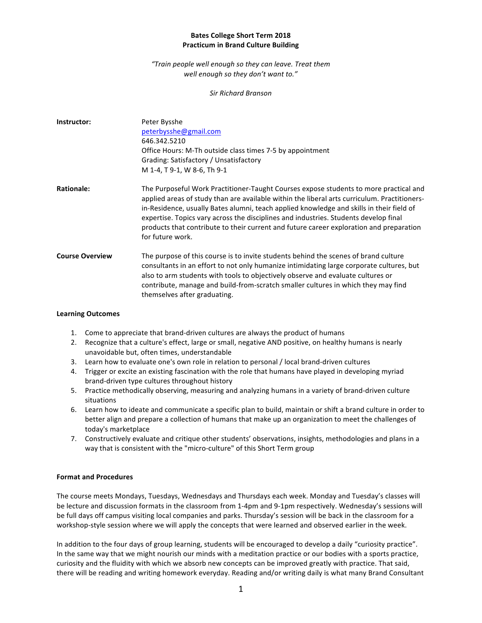# **Bates College Short Term 2018 Practicum in Brand Culture Building**

# *"Train people well enough so they can leave. Treat them*  well enough so they don't want to."

### *Sir Richard Branson*

| Instructor:            | Peter Bysshe<br>peterbysshe@gmail.com<br>646.342.5210<br>Office Hours: M-Th outside class times 7-5 by appointment<br>Grading: Satisfactory / Unsatisfactory<br>M 1-4, T 9-1, W 8-6, Th 9-1                                                                                                                                                                                                                                                                                              |
|------------------------|------------------------------------------------------------------------------------------------------------------------------------------------------------------------------------------------------------------------------------------------------------------------------------------------------------------------------------------------------------------------------------------------------------------------------------------------------------------------------------------|
| Rationale:             | The Purposeful Work Practitioner-Taught Courses expose students to more practical and<br>applied areas of study than are available within the liberal arts curriculum. Practitioners-<br>in-Residence, usually Bates alumni, teach applied knowledge and skills in their field of<br>expertise. Topics vary across the disciplines and industries. Students develop final<br>products that contribute to their current and future career exploration and preparation<br>for future work. |
| <b>Course Overview</b> | The purpose of this course is to invite students behind the scenes of brand culture<br>consultants in an effort to not only humanize intimidating large corporate cultures, but<br>also to arm students with tools to objectively observe and evaluate cultures or<br>contribute, manage and build-from-scratch smaller cultures in which they may find<br>themselves after graduating.                                                                                                  |

# **Learning Outcomes**

- 1. Come to appreciate that brand-driven cultures are always the product of humans
- 2. Recognize that a culture's effect, large or small, negative AND positive, on healthy humans is nearly unavoidable but, often times, understandable
- 3. Learn how to evaluate one's own role in relation to personal / local brand-driven cultures
- 4. Trigger or excite an existing fascination with the role that humans have played in developing myriad brand-driven type cultures throughout history
- 5. Practice methodically observing, measuring and analyzing humans in a variety of brand-driven culture situations
- 6. Learn how to ideate and communicate a specific plan to build, maintain or shift a brand culture in order to better align and prepare a collection of humans that make up an organization to meet the challenges of today's marketplace
- 7. Constructively evaluate and critique other students' observations, insights, methodologies and plans in a way that is consistent with the "micro-culture" of this Short Term group

# **Format and Procedures**

The course meets Mondays, Tuesdays, Wednesdays and Thursdays each week. Monday and Tuesday's classes will be lecture and discussion formats in the classroom from 1-4pm and 9-1pm respectively. Wednesday's sessions will be full days off campus visiting local companies and parks. Thursday's session will be back in the classroom for a workshop-style session where we will apply the concepts that were learned and observed earlier in the week.

In addition to the four days of group learning, students will be encouraged to develop a daily "curiosity practice". In the same way that we might nourish our minds with a meditation practice or our bodies with a sports practice, curiosity and the fluidity with which we absorb new concepts can be improved greatly with practice. That said, there will be reading and writing homework everyday. Reading and/or writing daily is what many Brand Consultant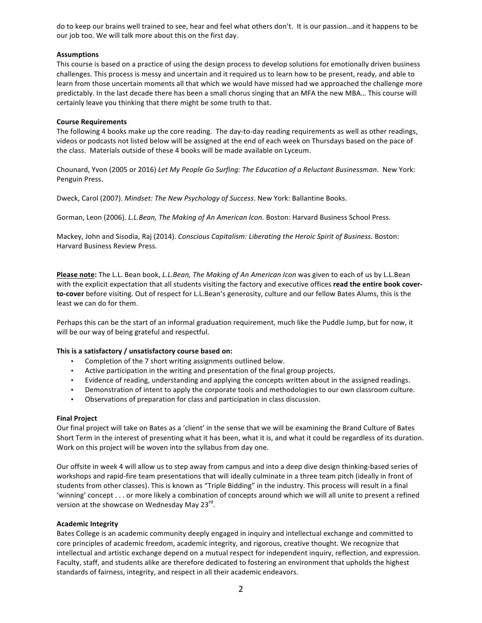do to keep our brains well trained to see, hear and feel what others don't. It is our passion...and it happens to be our job too. We will talk more about this on the first day.

### **Assumptions**

This course is based on a practice of using the design process to develop solutions for emotionally driven business challenges. This process is messy and uncertain and it required us to learn how to be present, ready, and able to learn from those uncertain moments all that which we would have missed had we approached the challenge more predictably. In the last decade there has been a small chorus singing that an MFA the new MBA... This course will certainly leave you thinking that there might be some truth to that.

### **Course Requirements**

The following 4 books make up the core reading. The day-to-day reading requirements as well as other readings, videos or podcasts not listed below will be assigned at the end of each week on Thursdays based on the pace of the class. Materials outside of these 4 books will be made available on Lyceum.

Chounard, Yvon (2005 or 2016) Let My People Go Surfing: The Education of a Reluctant Businessman. New York: Penguin Press.

Dweck, Carol (2007). *Mindset: The New Psychology of Success*. New York: Ballantine Books.

Gorman, Leon (2006). *L.L.Bean, The Making of An American Icon.* Boston: Harvard Business School Press.

Mackey, John and Sisodia, Raj (2014). *Conscious Capitalism: Liberating the Heroic Spirit of Business.* Boston: Harvard Business Review Press*.*

Please note: The L.L. Bean book, *L.L.Bean, The Making of An American Icon* was given to each of us by L.L.Bean with the explicit expectation that all students visiting the factory and executive offices read the entire book coverto-cover before visiting. Out of respect for L.L.Bean's generosity, culture and our fellow Bates Alums, this is the least we can do for them.

Perhaps this can be the start of an informal graduation requirement, much like the Puddle Jump, but for now, it will be our way of being grateful and respectful.

### This is a satisfactory / unsatisfactory course based on:

- Completion of the 7 short writing assignments outlined below.
- Active participation in the writing and presentation of the final group projects.
- Evidence of reading, understanding and applying the concepts written about in the assigned readings.
- Demonstration of intent to apply the corporate tools and methodologies to our own classroom culture.
- Observations of preparation for class and participation in class discussion.

### **Final Project**

Our final project will take on Bates as a 'client' in the sense that we will be examining the Brand Culture of Bates Short Term in the interest of presenting what it has been, what it is, and what it could be regardless of its duration. Work on this project will be woven into the syllabus from day one.

Our offsite in week 4 will allow us to step away from campus and into a deep dive design thinking-based series of workshops and rapid-fire team presentations that will ideally culminate in a three team pitch (ideally in front of students from other classes). This is known as "Triple Bidding" in the industry. This process will result in a final 'winning' concept . . . or more likely a combination of concepts around which we will all unite to present a refined version at the showcase on Wednesday May 23 $^{\text{rd}}$ .

# **Academic Integrity**

Bates College is an academic community deeply engaged in inquiry and intellectual exchange and committed to core principles of academic freedom, academic integrity, and rigorous, creative thought. We recognize that intellectual and artistic exchange depend on a mutual respect for independent inquiry, reflection, and expression. Faculty, staff, and students alike are therefore dedicated to fostering an environment that upholds the highest standards of fairness, integrity, and respect in all their academic endeavors.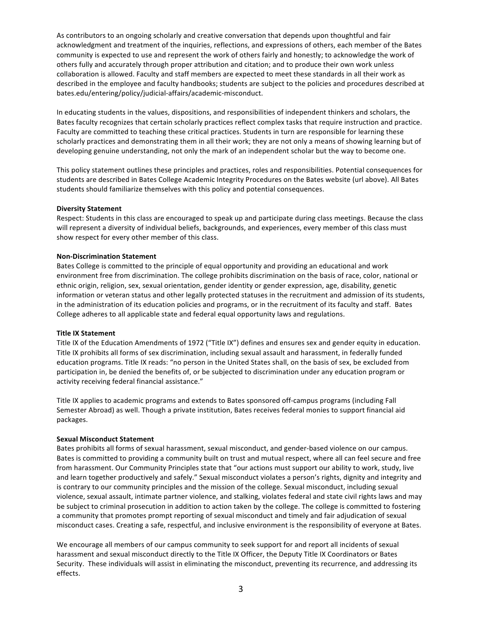As contributors to an ongoing scholarly and creative conversation that depends upon thoughtful and fair acknowledgment and treatment of the inquiries, reflections, and expressions of others, each member of the Bates community is expected to use and represent the work of others fairly and honestly; to acknowledge the work of others fully and accurately through proper attribution and citation; and to produce their own work unless collaboration is allowed. Faculty and staff members are expected to meet these standards in all their work as described in the employee and faculty handbooks; students are subject to the policies and procedures described at bates.edu/entering/policy/judicial-affairs/academic-misconduct.

In educating students in the values, dispositions, and responsibilities of independent thinkers and scholars, the Bates faculty recognizes that certain scholarly practices reflect complex tasks that require instruction and practice. Faculty are committed to teaching these critical practices. Students in turn are responsible for learning these scholarly practices and demonstrating them in all their work; they are not only a means of showing learning but of developing genuine understanding, not only the mark of an independent scholar but the way to become one.

This policy statement outlines these principles and practices, roles and responsibilities. Potential consequences for students are described in Bates College Academic Integrity Procedures on the Bates website (url above). All Bates students should familiarize themselves with this policy and potential consequences.

#### **Diversity Statement**

Respect: Students in this class are encouraged to speak up and participate during class meetings. Because the class will represent a diversity of individual beliefs, backgrounds, and experiences, every member of this class must show respect for every other member of this class.

#### **Non-Discrimination Statement**

Bates College is committed to the principle of equal opportunity and providing an educational and work environment free from discrimination. The college prohibits discrimination on the basis of race, color, national or ethnic origin, religion, sex, sexual orientation, gender identity or gender expression, age, disability, genetic information or veteran status and other legally protected statuses in the recruitment and admission of its students, in the administration of its education policies and programs, or in the recruitment of its faculty and staff. Bates College adheres to all applicable state and federal equal opportunity laws and regulations.

#### **Title IX Statement**

Title IX of the Education Amendments of 1972 ("Title IX") defines and ensures sex and gender equity in education. Title IX prohibits all forms of sex discrimination, including sexual assault and harassment, in federally funded education programs. Title IX reads: "no person in the United States shall, on the basis of sex, be excluded from participation in, be denied the benefits of, or be subjected to discrimination under any education program or activity receiving federal financial assistance."

Title IX applies to academic programs and extends to Bates sponsored off-campus programs (including Fall Semester Abroad) as well. Though a private institution, Bates receives federal monies to support financial aid packages.

#### **Sexual Misconduct Statement**

Bates prohibits all forms of sexual harassment, sexual misconduct, and gender-based violence on our campus. Bates is committed to providing a community built on trust and mutual respect, where all can feel secure and free from harassment. Our Community Principles state that "our actions must support our ability to work, study, live and learn together productively and safely." Sexual misconduct violates a person's rights, dignity and integrity and is contrary to our community principles and the mission of the college. Sexual misconduct, including sexual violence, sexual assault, intimate partner violence, and stalking, violates federal and state civil rights laws and may be subject to criminal prosecution in addition to action taken by the college. The college is committed to fostering a community that promotes prompt reporting of sexual misconduct and timely and fair adjudication of sexual misconduct cases. Creating a safe, respectful, and inclusive environment is the responsibility of everyone at Bates.

We encourage all members of our campus community to seek support for and report all incidents of sexual harassment and sexual misconduct directly to the Title IX Officer, the Deputy Title IX Coordinators or Bates Security. These individuals will assist in eliminating the misconduct, preventing its recurrence, and addressing its effects.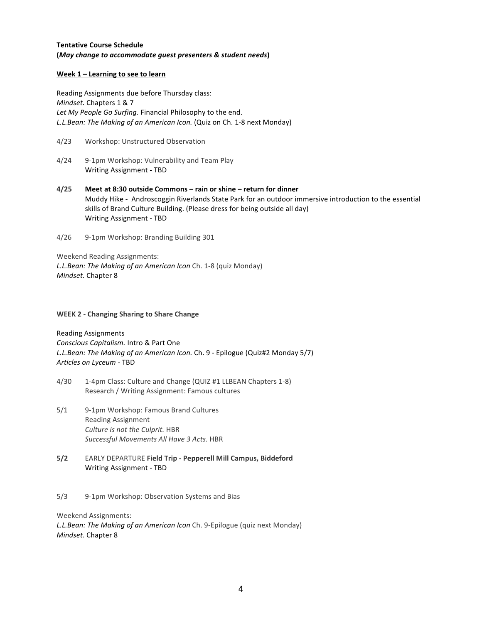# **Tentative Course Schedule (***May change to accommodate guest presenters & student needs***)**

## **Week 1 – Learning to see to learn**

Reading Assignments due before Thursday class: *Mindset.* Chapters 1 & 7 Let My People Go Surfing. Financial Philosophy to the end. *L.L.Bean: The Making of an American Icon.* (Quiz on Ch. 1-8 next Monday)

- 4/23 Workshop: Unstructured Observation
- 4/24 9-1pm Workshop: Vulnerability and Team Play Writing Assignment - TBD
- **4/25 Meet at 8:30 outside Commons – rain or shine – return for dinner**  Muddy Hike - Androscoggin Riverlands State Park for an outdoor immersive introduction to the essential skills of Brand Culture Building. (Please dress for being outside all day) Writing Assignment - TBD
- 4/26 9-1pm Workshop: Branding Building 301

Weekend Reading Assignments: L.L.Bean: The Making of an American Icon Ch. 1-8 (quiz Monday) *Mindset.* Chapter 8

## **WEEK 2 - Changing Sharing to Share Change**

Reading Assignments *Conscious Capitalism.* Intro & Part One *L.L.Bean:* The Making of an American Icon. Ch. 9 - Epilogue (Quiz#2 Monday 5/7) Articles on Lyceum - TBD

- 4/30 1-4pm Class: Culture and Change (QUIZ #1 LLBEAN Chapters 1-8) Research / Writing Assignment: Famous cultures
- 5/1 9-1pm Workshop: Famous Brand Cultures Reading Assignment *Culture is not the Culprit.* HBR *Successful Movements All Have 3 Acts.* HBR
- **5/2** EARLY DEPARTURE **Field Trip - Pepperell Mill Campus, Biddeford** Writing Assignment - TBD
- 5/3 9-1pm Workshop: Observation Systems and Bias

Weekend Assignments:

L.L.Bean: The Making of an American Icon Ch. 9-Epilogue (quiz next Monday) *Mindset.* Chapter 8